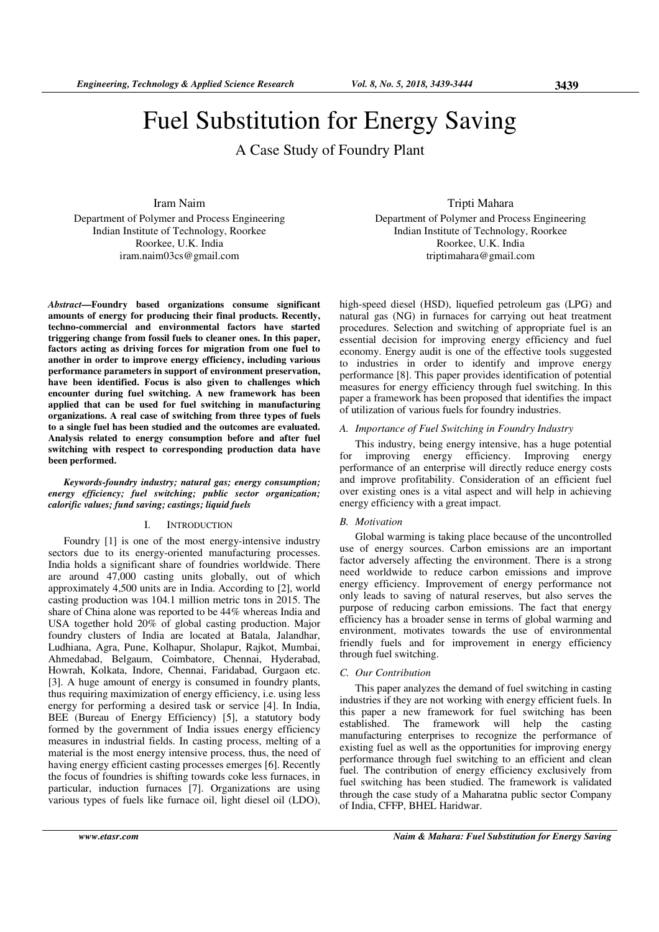# Fuel Substitution for Energy Saving

A Case Study of Foundry Plant

Iram Naim Department of Polymer and Process Engineering Indian Institute of Technology, Roorkee Roorkee, U.K. India iram.naim03cs@gmail.com

*Abstract***—Foundry based organizations consume significant amounts of energy for producing their final products. Recently, techno-commercial and environmental factors have started triggering change from fossil fuels to cleaner ones. In this paper, factors acting as driving forces for migration from one fuel to another in order to improve energy efficiency, including various performance parameters in support of environment preservation, have been identified. Focus is also given to challenges which encounter during fuel switching. A new framework has been applied that can be used for fuel switching in manufacturing organizations. A real case of switching from three types of fuels to a single fuel has been studied and the outcomes are evaluated. Analysis related to energy consumption before and after fuel switching with respect to corresponding production data have been performed.** 

# *Keywords-foundry industry; natural gas; energy consumption; energy efficiency; fuel switching; public sector organization; calorific values; fund saving; castings; liquid fuels*

# I. INTRODUCTION

Foundry [1] is one of the most energy-intensive industry sectors due to its energy-oriented manufacturing processes. India holds a significant share of foundries worldwide. There are around 47,000 casting units globally, out of which approximately 4,500 units are in India. According to [2], world casting production was 104.1 million metric tons in 2015. The share of China alone was reported to be 44% whereas India and USA together hold 20% of global casting production. Major foundry clusters of India are located at Batala, Jalandhar, Ludhiana, Agra, Pune, Kolhapur, Sholapur, Rajkot, Mumbai, Ahmedabad, Belgaum, Coimbatore, Chennai, Hyderabad, Howrah, Kolkata, Indore, Chennai, Faridabad, Gurgaon etc. [3]. A huge amount of energy is consumed in foundry plants, thus requiring maximization of energy efficiency, i.e. using less energy for performing a desired task or service [4]. In India, BEE (Bureau of Energy Efficiency) [5], a statutory body formed by the government of India issues energy efficiency measures in industrial fields. In casting process, melting of a material is the most energy intensive process, thus, the need of having energy efficient casting processes emerges [6]. Recently the focus of foundries is shifting towards coke less furnaces, in particular, induction furnaces [7]. Organizations are using various types of fuels like furnace oil, light diesel oil (LDO),

Tripti Mahara Department of Polymer and Process Engineering Indian Institute of Technology, Roorkee Roorkee, U.K. India triptimahara@gmail.com

high-speed diesel (HSD), liquefied petroleum gas (LPG) and natural gas (NG) in furnaces for carrying out heat treatment procedures. Selection and switching of appropriate fuel is an essential decision for improving energy efficiency and fuel economy. Energy audit is one of the effective tools suggested to industries in order to identify and improve energy performance [8]. This paper provides identification of potential measures for energy efficiency through fuel switching. In this paper a framework has been proposed that identifies the impact of utilization of various fuels for foundry industries.

# *A. Importance of Fuel Switching in Foundry Industry*

This industry, being energy intensive, has a huge potential for improving energy efficiency. Improving energy performance of an enterprise will directly reduce energy costs and improve profitability. Consideration of an efficient fuel over existing ones is a vital aspect and will help in achieving energy efficiency with a great impact.

## *B. Motivation*

Global warming is taking place because of the uncontrolled use of energy sources. Carbon emissions are an important factor adversely affecting the environment. There is a strong need worldwide to reduce carbon emissions and improve energy efficiency. Improvement of energy performance not only leads to saving of natural reserves, but also serves the purpose of reducing carbon emissions. The fact that energy efficiency has a broader sense in terms of global warming and environment, motivates towards the use of environmental friendly fuels and for improvement in energy efficiency through fuel switching.

## *C. Our Contribution*

This paper analyzes the demand of fuel switching in casting industries if they are not working with energy efficient fuels. In this paper a new framework for fuel switching has been established. The framework will help the casting manufacturing enterprises to recognize the performance of existing fuel as well as the opportunities for improving energy performance through fuel switching to an efficient and clean fuel. The contribution of energy efficiency exclusively from fuel switching has been studied. The framework is validated through the case study of a Maharatna public sector Company of India, CFFP, BHEL Haridwar.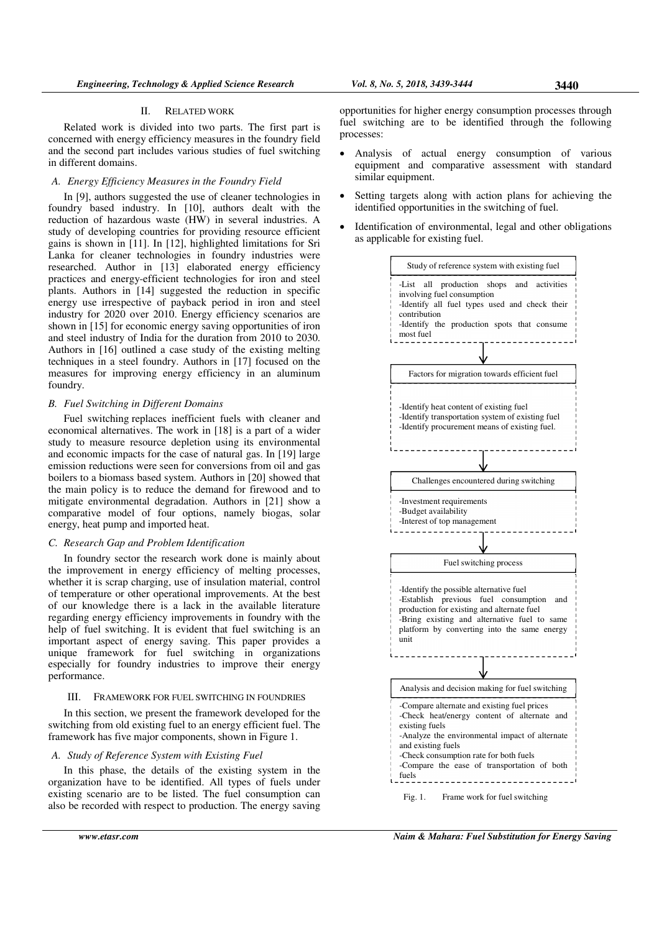#### II. RELATED WORK

Related work is divided into two parts. The first part is concerned with energy efficiency measures in the foundry field and the second part includes various studies of fuel switching in different domains.

#### *A. Energy Efficiency Measures in the Foundry Field*

In [9], authors suggested the use of cleaner technologies in foundry based industry. In [10], authors dealt with the reduction of hazardous waste (HW) in several industries. A study of developing countries for providing resource efficient gains is shown in [11]. In [12], highlighted limitations for Sri Lanka for cleaner technologies in foundry industries were researched. Author in [13] elaborated energy efficiency practices and energy-efficient technologies for iron and steel plants. Authors in [14] suggested the reduction in specific energy use irrespective of payback period in iron and steel industry for 2020 over 2010. Energy efficiency scenarios are shown in [15] for economic energy saving opportunities of iron and steel industry of India for the duration from 2010 to 2030. Authors in [16] outlined a case study of the existing melting techniques in a steel foundry. Authors in [17] focused on the measures for improving energy efficiency in an aluminum foundry.

#### *B. Fuel Switching in Different Domains*

Fuel switching replaces inefficient fuels with cleaner and economical alternatives. The work in [18] is a part of a wider study to measure resource depletion using its environmental and economic impacts for the case of natural gas. In [19] large emission reductions were seen for conversions from oil and gas boilers to a biomass based system. Authors in [20] showed that the main policy is to reduce the demand for firewood and to mitigate environmental degradation. Authors in [21] show a comparative model of four options, namely biogas, solar energy, heat pump and imported heat.

## *C. Research Gap and Problem Identification*

In foundry sector the research work done is mainly about the improvement in energy efficiency of melting processes, whether it is scrap charging, use of insulation material, control of temperature or other operational improvements. At the best of our knowledge there is a lack in the available literature regarding energy efficiency improvements in foundry with the help of fuel switching. It is evident that fuel switching is an important aspect of energy saving. This paper provides a unique framework for fuel switching in organizations especially for foundry industries to improve their energy performance.

# III. FRAMEWORK FOR FUEL SWITCHING IN FOUNDRIES

In this section, we present the framework developed for the switching from old existing fuel to an energy efficient fuel. The framework has five major components, shown in Figure 1.

# *A. Study of Reference System with Existing Fuel*

In this phase, the details of the existing system in the organization have to be identified. All types of fuels under existing scenario are to be listed. The fuel consumption can also be recorded with respect to production. The energy saving

opportunities for higher energy consumption processes through fuel switching are to be identified through the following processes:

- Analysis of actual energy consumption of various equipment and comparative assessment with standard similar equipment.
- Setting targets along with action plans for achieving the identified opportunities in the switching of fuel.
- Identification of environmental, legal and other obligations as applicable for existing fuel.

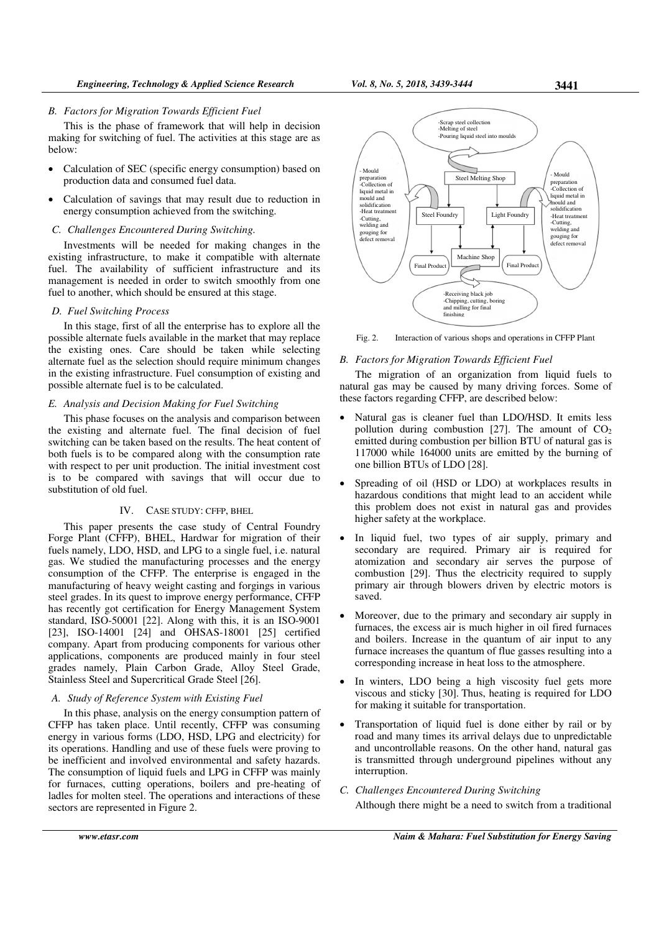# *B. Factors for Migration Towards Efficient Fuel*

This is the phase of framework that will help in decision making for switching of fuel. The activities at this stage are as below:

- Calculation of SEC (specific energy consumption) based on production data and consumed fuel data.
- Calculation of savings that may result due to reduction in energy consumption achieved from the switching.

# *C. Challenges Encountered During Switching.*

Investments will be needed for making changes in the existing infrastructure, to make it compatible with alternate fuel. The availability of sufficient infrastructure and its management is needed in order to switch smoothly from one fuel to another, which should be ensured at this stage.

## *D. Fuel Switching Process*

In this stage, first of all the enterprise has to explore all the possible alternate fuels available in the market that may replace the existing ones. Care should be taken while selecting alternate fuel as the selection should require minimum changes in the existing infrastructure. Fuel consumption of existing and possible alternate fuel is to be calculated.

# *E. Analysis and Decision Making for Fuel Switching*

This phase focuses on the analysis and comparison between the existing and alternate fuel. The final decision of fuel switching can be taken based on the results. The heat content of both fuels is to be compared along with the consumption rate with respect to per unit production. The initial investment cost is to be compared with savings that will occur due to substitution of old fuel.

#### IV. CASE STUDY: CFFP, BHEL

This paper presents the case study of Central Foundry Forge Plant (CFFP), BHEL, Hardwar for migration of their fuels namely, LDO, HSD, and LPG to a single fuel, i.e. natural gas. We studied the manufacturing processes and the energy consumption of the CFFP. The enterprise is engaged in the manufacturing of heavy weight casting and forgings in various steel grades. In its quest to improve energy performance, CFFP has recently got certification for Energy Management System standard, ISO-50001 [22]. Along with this, it is an ISO-9001 [23], ISO-14001 [24] and OHSAS-18001 [25] certified company. Apart from producing components for various other applications, components are produced mainly in four steel grades namely, Plain Carbon Grade, Alloy Steel Grade, Stainless Steel and Supercritical Grade Steel [26].

## *A. Study of Reference System with Existing Fuel*

In this phase, analysis on the energy consumption pattern of CFFP has taken place. Until recently, CFFP was consuming energy in various forms (LDO, HSD, LPG and electricity) for its operations. Handling and use of these fuels were proving to be inefficient and involved environmental and safety hazards. The consumption of liquid fuels and LPG in CFFP was mainly for furnaces, cutting operations, boilers and pre-heating of ladles for molten steel. The operations and interactions of these sectors are represented in Figure 2.



Fig. 2. Interaction of various shops and operations in CFFP Plant

#### *B. Factors for Migration Towards Efficient Fuel*

The migration of an organization from liquid fuels to natural gas may be caused by many driving forces. Some of these factors regarding CFFP, are described below:

- Natural gas is cleaner fuel than LDO/HSD. It emits less pollution during combustion  $[27]$ . The amount of  $CO<sub>2</sub>$ emitted during combustion per billion BTU of natural gas is 117000 while 164000 units are emitted by the burning of one billion BTUs of LDO [28].
- Spreading of oil (HSD or LDO) at workplaces results in hazardous conditions that might lead to an accident while this problem does not exist in natural gas and provides higher safety at the workplace.
- In liquid fuel, two types of air supply, primary and secondary are required. Primary air is required for atomization and secondary air serves the purpose of combustion [29]. Thus the electricity required to supply primary air through blowers driven by electric motors is saved.
- Moreover, due to the primary and secondary air supply in furnaces, the excess air is much higher in oil fired furnaces and boilers. Increase in the quantum of air input to any furnace increases the quantum of flue gasses resulting into a corresponding increase in heat loss to the atmosphere.
- In winters, LDO being a high viscosity fuel gets more viscous and sticky [30]. Thus, heating is required for LDO for making it suitable for transportation.
- Transportation of liquid fuel is done either by rail or by road and many times its arrival delays due to unpredictable and uncontrollable reasons. On the other hand, natural gas is transmitted through underground pipelines without any interruption.
- *C. Challenges Encountered During Switching*  Although there might be a need to switch from a traditional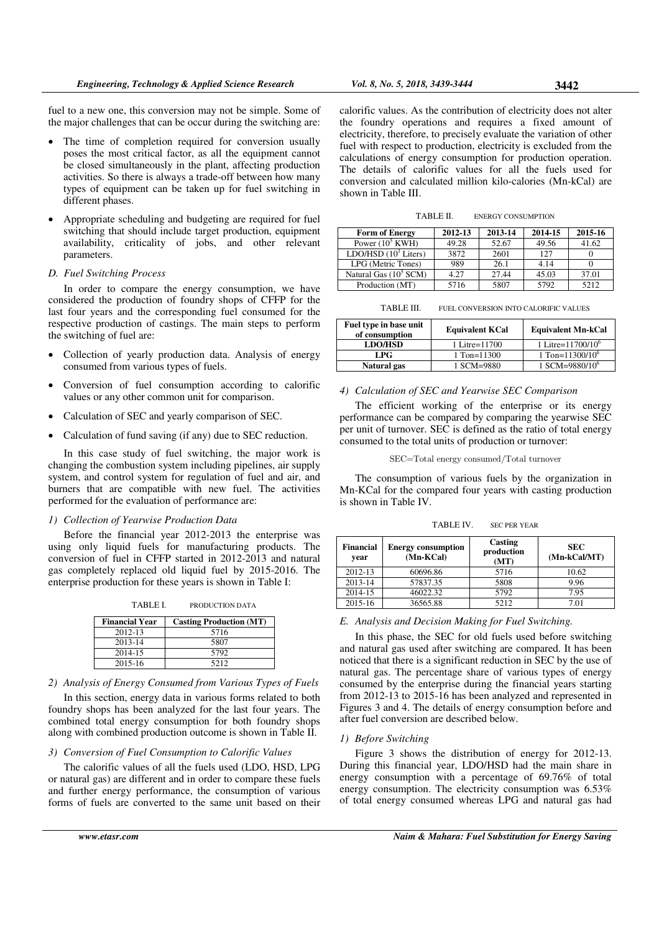fuel to a new one, this conversion may not be simple. Some of the major challenges that can be occur during the switching are:

- The time of completion required for conversion usually poses the most critical factor, as all the equipment cannot be closed simultaneously in the plant, affecting production activities. So there is always a trade-off between how many types of equipment can be taken up for fuel switching in different phases.
- Appropriate scheduling and budgeting are required for fuel switching that should include target production, equipment availability, criticality of jobs, and other relevant parameters.

## *D. Fuel Switching Process*

In order to compare the energy consumption, we have considered the production of foundry shops of CFFP for the last four years and the corresponding fuel consumed for the respective production of castings. The main steps to perform the switching of fuel are:

- Collection of yearly production data. Analysis of energy consumed from various types of fuels.
- Conversion of fuel consumption according to calorific values or any other common unit for comparison.
- Calculation of SEC and yearly comparison of SEC.
- Calculation of fund saving (if any) due to SEC reduction.

In this case study of fuel switching, the major work is changing the combustion system including pipelines, air supply system, and control system for regulation of fuel and air, and burners that are compatible with new fuel. The activities performed for the evaluation of performance are:

#### *1) Collection of Yearwise Production Data*

Before the financial year 2012-2013 the enterprise was using only liquid fuels for manufacturing products. The conversion of fuel in CFFP started in 2012-2013 and natural gas completely replaced old liquid fuel by 2015-2016. The enterprise production for these years is shown in Table I:

TABLE I. PRODUCTION DATA **Financial Year Casting Production (MT)** 2012-13 5716 2013-14 5807<br>2014-15 5792 2014-15<br>
2015-16 5212  $2015 - 16$ 

# *2) Analysis of Energy Consumed from Various Types of Fuels*

In this section, energy data in various forms related to both foundry shops has been analyzed for the last four years. The combined total energy consumption for both foundry shops along with combined production outcome is shown in Table II.

## *3) Conversion of Fuel Consumption to Calorific Values*

The calorific values of all the fuels used (LDO, HSD, LPG or natural gas) are different and in order to compare these fuels and further energy performance, the consumption of various forms of fuels are converted to the same unit based on their calorific values. As the contribution of electricity does not alter the foundry operations and requires a fixed amount of electricity, therefore, to precisely evaluate the variation of other fuel with respect to production, electricity is excluded from the calculations of energy consumption for production operation. The details of calorific values for all the fuels used for conversion and calculated million kilo-calories (Mn-kCal) are shown in Table III.

TABLE II. ENERGY CONSUMPTION

| <b>Form of Energy</b>            | 2012-13 | 2013-14 | 2014-15 | 2015-16 |
|----------------------------------|---------|---------|---------|---------|
| Power $(10^5$ KWH)               | 49.28   | 52.67   | 49.56   | 41.62   |
| LDO/HSD $(10^3$ Liters)          | 3872    | 2601    | 127     |         |
| LPG (Metric Tones)               | 989     | 26.1    | 4.14    |         |
| Natural Gas $(10^5 \text{ SCM})$ | 4.27    | 27.44   | 45.03   | 37.01   |
| Production (MT)                  | 5716    | 5807    | 5792    | 5212    |

TABLE III. FUEL CONVERSION INTO CALORIFIC VALUES

| Fuel type in base unit<br>of consumption | <b>Equivalent KCal</b> | <b>Equivalent Mn-kCal</b> |
|------------------------------------------|------------------------|---------------------------|
| <b>LDO/HSD</b>                           | 1 Litre=11700          | 1 Litre= $11700/10^6$     |
| LPG                                      | 1 Ton=11300            | 1 Ton= $11300/10^6$       |
| Natural gas                              | 1 SCM=9880             | 1 SCM=9880/10 $^{\circ}$  |

### *4) Calculation of SEC and Yearwise SEC Comparison*

The efficient working of the enterprise or its energy performance can be compared by comparing the yearwise SEC per unit of turnover. SEC is defined as the ratio of total energy consumed to the total units of production or turnover:

#### SEC=Total energy consumed/Total turnover

The consumption of various fuels by the organization in Mn-KCal for the compared four years with casting production is shown in Table IV.

| TABLE IV. | <b>SEC PER YEAR</b> |
|-----------|---------------------|
|-----------|---------------------|

| <b>Financial</b><br>vear | <b>Energy consumption</b><br>(Mn-KCal) | Casting<br>production<br>(MT) | <b>SEC</b><br>(Mn-kCal/MT) |
|--------------------------|----------------------------------------|-------------------------------|----------------------------|
| 2012-13                  | 60696.86                               | 5716                          | 10.62                      |
| 2013-14                  | 57837.35                               | 5808                          | 9.96                       |
| 2014-15                  | 46022.32                               | 5792                          | 795                        |
| 2015-16                  | 36565.88                               | 5212                          | 7.01                       |

## *E. Analysis and Decision Making for Fuel Switching.*

In this phase, the SEC for old fuels used before switching and natural gas used after switching are compared. It has been noticed that there is a significant reduction in SEC by the use of natural gas. The percentage share of various types of energy consumed by the enterprise during the financial years starting from 2012-13 to 2015-16 has been analyzed and represented in Figures 3 and 4. The details of energy consumption before and after fuel conversion are described below.

#### *1) Before Switching*

Figure 3 shows the distribution of energy for 2012-13. During this financial year, LDO/HSD had the main share in energy consumption with a percentage of 69.76% of total energy consumption. The electricity consumption was 6.53% of total energy consumed whereas LPG and natural gas had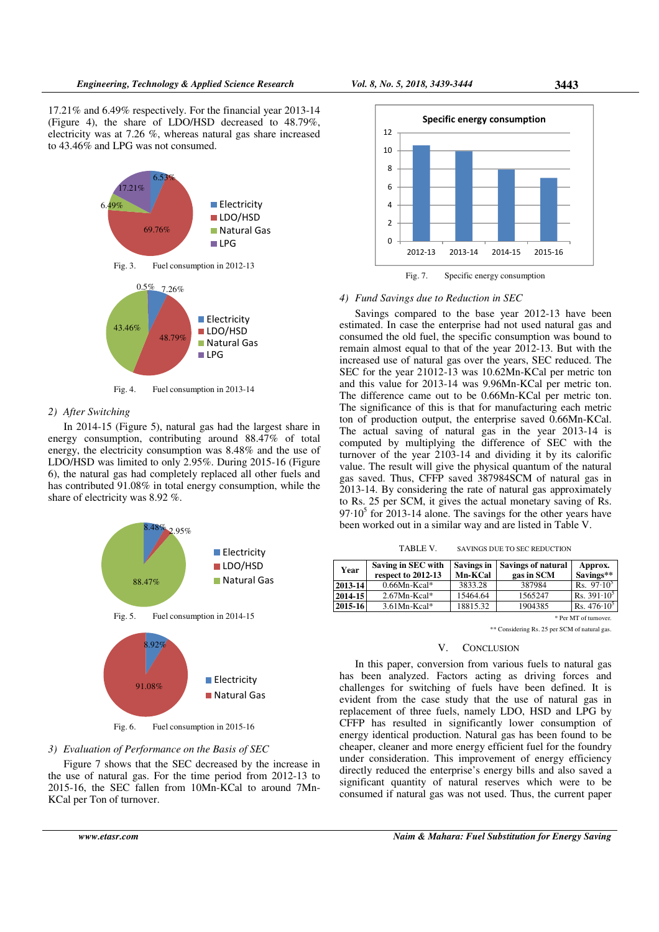17.21% and 6.49% respectively. For the financial year 2013-14 (Figure 4), the share of LDO/HSD decreased to 48.79%, electricity was at 7.26 %, whereas natural gas share increased to 43.46% and LPG was not consumed.



Fig. 4. Fuel consumption in 2013-14

## *2) After Switching*

In 2014-15 (Figure 5), natural gas had the largest share in energy consumption, contributing around 88.47% of total energy, the electricity consumption was 8.48% and the use of LDO/HSD was limited to only 2.95%. During 2015-16 (Figure 6), the natural gas had completely replaced all other fuels and has contributed 91.08% in total energy consumption, while the share of electricity was 8.92 %.



Fig. 6. Fuel consumption in 2015-16

# *3) Evaluation of Performance on the Basis of SEC*

Figure 7 shows that the SEC decreased by the increase in the use of natural gas. For the time period from 2012-13 to 2015-16, the SEC fallen from 10Mn-KCal to around 7Mn-KCal per Ton of turnover.



Fig. 7. Specific energy consumption

#### *4) Fund Savings due to Reduction in SEC*

Savings compared to the base year 2012-13 have been estimated. In case the enterprise had not used natural gas and consumed the old fuel, the specific consumption was bound to remain almost equal to that of the year 2012-13. But with the increased use of natural gas over the years, SEC reduced. The SEC for the year 21012-13 was 10.62Mn-KCal per metric ton and this value for 2013-14 was 9.96Mn-KCal per metric ton. The difference came out to be 0.66Mn-KCal per metric ton. The significance of this is that for manufacturing each metric ton of production output, the enterprise saved 0.66Mn-KCal. The actual saving of natural gas in the year 2013-14 is computed by multiplying the difference of SEC with the turnover of the year 2103-14 and dividing it by its calorific value. The result will give the physical quantum of the natural gas saved. Thus, CFFP saved 387984SCM of natural gas in 2013-14. By considering the rate of natural gas approximately to Rs. 25 per SCM, it gives the actual monetary saving of Rs.  $97 \cdot 10^5$  for 2013-14 alone. The savings for the other years have been worked out in a similar way and are listed in Table V.

| TABLE V. | SAVINGS DUE TO SEC REDUCTION |
|----------|------------------------------|
|----------|------------------------------|

| Year    | Saving in SEC with<br>respect to 2012-13 | Savings in<br>Mn-KCal | <b>Savings of natural</b><br>gas in SCM | Approx.<br>Savings** |
|---------|------------------------------------------|-----------------------|-----------------------------------------|----------------------|
| 2013-14 | $0.66Mn-Kcal*$                           | 3833.28               | 387984                                  | Rs. $97 \cdot 10^5$  |
| 2014-15 | $2.67Mn-Kcal*$                           | 15464.64              | 1565247                                 | Rs. $391 \cdot 10^5$ |
| 2015-16 | $3.61Mn-Kcal*$                           | 18815.32              | 1904385                                 | Rs. $476 \cdot 10^5$ |

\* Per MT of turnover.

\*\* Considering Rs. 25 per SCM of natural gas.

## V. CONCLUSION

In this paper, conversion from various fuels to natural gas has been analyzed. Factors acting as driving forces and challenges for switching of fuels have been defined. It is evident from the case study that the use of natural gas in replacement of three fuels, namely LDO, HSD and LPG by CFFP has resulted in significantly lower consumption of energy identical production. Natural gas has been found to be cheaper, cleaner and more energy efficient fuel for the foundry under consideration. This improvement of energy efficiency directly reduced the enterprise's energy bills and also saved a significant quantity of natural reserves which were to be consumed if natural gas was not used. Thus, the current paper